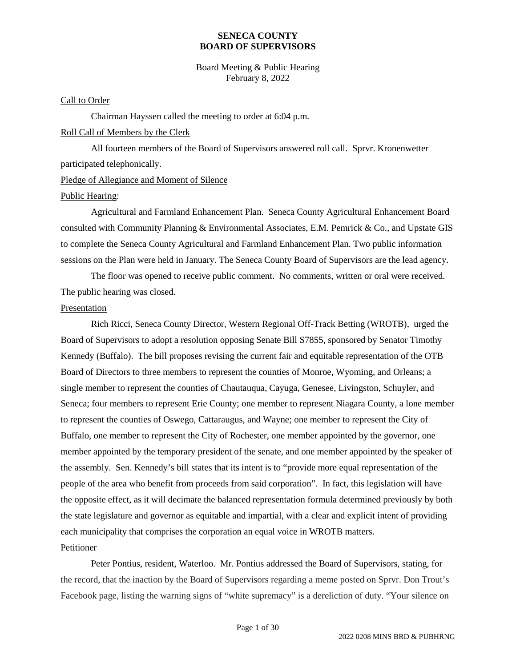Board Meeting & Public Hearing February 8, 2022

#### Call to Order

Chairman Hayssen called the meeting to order at 6:04 p.m. Roll Call of Members by the Clerk

All fourteen members of the Board of Supervisors answered roll call. Sprvr. Kronenwetter participated telephonically.

### Pledge of Allegiance and Moment of Silence

#### Public Hearing:

Agricultural and Farmland Enhancement Plan. Seneca County Agricultural Enhancement Board consulted with Community Planning & Environmental Associates, E.M. Pemrick & Co., and Upstate GIS to complete the Seneca County Agricultural and Farmland Enhancement Plan. Two public information sessions on the Plan were held in January. The Seneca County Board of Supervisors are the lead agency.

The floor was opened to receive public comment. No comments, written or oral were received. The public hearing was closed.

#### Presentation

Rich Ricci, Seneca County Director, Western Regional Off-Track Betting (WROTB), urged the Board of Supervisors to adopt a resolution opposing Senate Bill S7855, sponsored by Senator Timothy Kennedy (Buffalo). The bill proposes revising the current fair and equitable representation of the OTB Board of Directors to three members to represent the counties of Monroe, Wyoming, and Orleans; a single member to represent the counties of Chautauqua, Cayuga, Genesee, Livingston, Schuyler, and Seneca; four members to represent Erie County; one member to represent Niagara County, a lone member to represent the counties of Oswego, Cattaraugus, and Wayne; one member to represent the City of Buffalo, one member to represent the City of Rochester, one member appointed by the governor, one member appointed by the temporary president of the senate, and one member appointed by the speaker of the assembly. Sen. Kennedy's bill states that its intent is to "provide more equal representation of the people of the area who benefit from proceeds from said corporation". In fact, this legislation will have the opposite effect, as it will decimate the balanced representation formula determined previously by both the state legislature and governor as equitable and impartial, with a clear and explicit intent of providing each municipality that comprises the corporation an equal voice in WROTB matters. Petitioner

Peter Pontius, resident, Waterloo. Mr. Pontius addressed the Board of Supervisors, stating, for the record, that the inaction by the Board of Supervisors regarding a meme posted on Sprvr. Don Trout's Facebook page, listing the warning signs of "white supremacy" is a dereliction of duty. "Your silence on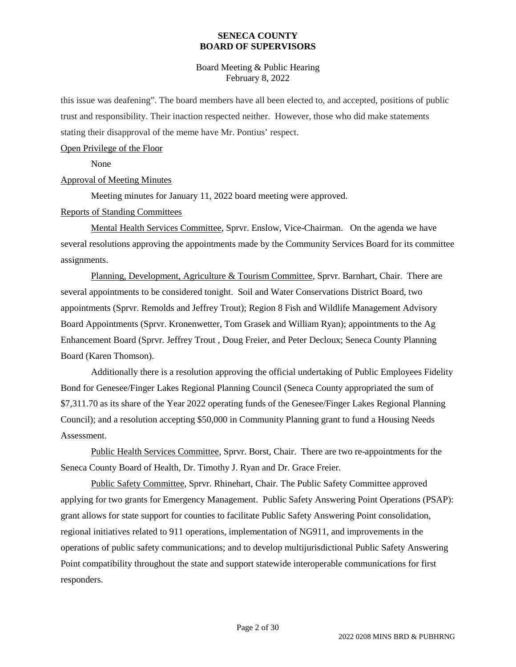Board Meeting & Public Hearing February 8, 2022

this issue was deafening". The board members have all been elected to, and accepted, positions of public trust and responsibility. Their inaction respected neither. However, those who did make statements stating their disapproval of the meme have Mr. Pontius' respect.

#### Open Privilege of the Floor

None

### Approval of Meeting Minutes

Meeting minutes for January 11, 2022 board meeting were approved.

### Reports of Standing Committees

Mental Health Services Committee, Sprvr. Enslow, Vice-Chairman. On the agenda we have several resolutions approving the appointments made by the Community Services Board for its committee assignments.

Planning, Development, Agriculture & Tourism Committee, Sprvr. Barnhart, Chair. There are several appointments to be considered tonight. Soil and Water Conservations District Board, two appointments (Sprvr. Remolds and Jeffrey Trout); Region 8 Fish and Wildlife Management Advisory Board Appointments (Sprvr. Kronenwetter, Tom Grasek and William Ryan); appointments to the Ag Enhancement Board (Sprvr. Jeffrey Trout , Doug Freier, and Peter Decloux; Seneca County Planning Board (Karen Thomson).

Additionally there is a resolution approving the official undertaking of Public Employees Fidelity Bond for Genesee/Finger Lakes Regional Planning Council (Seneca County appropriated the sum of \$7,311.70 as its share of the Year 2022 operating funds of the Genesee/Finger Lakes Regional Planning Council); and a resolution accepting \$50,000 in Community Planning grant to fund a Housing Needs Assessment.

Public Health Services Committee, Sprvr. Borst, Chair. There are two re-appointments for the Seneca County Board of Health, Dr. Timothy J. Ryan and Dr. Grace Freier.

Public Safety Committee, Sprvr. Rhinehart, Chair. The Public Safety Committee approved applying for two grants for Emergency Management. Public Safety Answering Point Operations (PSAP): grant allows for state support for counties to facilitate Public Safety Answering Point consolidation, regional initiatives related to 911 operations, implementation of NG911, and improvements in the operations of public safety communications; and to develop multijurisdictional Public Safety Answering Point compatibility throughout the state and support statewide interoperable communications for first responders.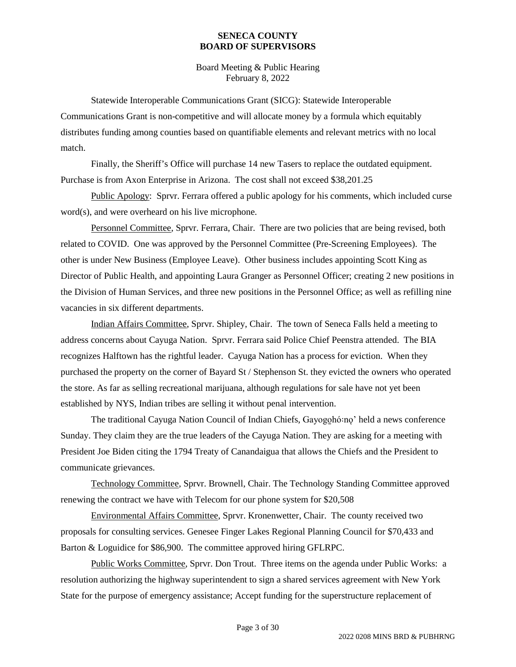Board Meeting & Public Hearing February 8, 2022

Statewide Interoperable Communications Grant (SICG): Statewide Interoperable Communications Grant is non-competitive and will allocate money by a formula which equitably distributes funding among counties based on quantifiable elements and relevant metrics with no local match.

Finally, the Sheriff's Office will purchase 14 new Tasers to replace the outdated equipment. Purchase is from Axon Enterprise in Arizona. The cost shall not exceed \$38,201.25

Public Apology: Sprvr. Ferrara offered a public apology for his comments, which included curse word(s), and were overheard on his live microphone.

Personnel Committee, Sprvr. Ferrara, Chair. There are two policies that are being revised, both related to COVID. One was approved by the Personnel Committee (Pre-Screening Employees). The other is under New Business (Employee Leave). Other business includes appointing Scott King as Director of Public Health, and appointing Laura Granger as Personnel Officer; creating 2 new positions in the Division of Human Services, and three new positions in the Personnel Office; as well as refilling nine vacancies in six different departments.

Indian Affairs Committee, Sprvr. Shipley, Chair. The town of Seneca Falls held a meeting to address concerns about Cayuga Nation. Sprvr. Ferrara said Police Chief Peenstra attended. The BIA recognizes Halftown has the rightful leader. Cayuga Nation has a process for eviction. When they purchased the property on the corner of Bayard St / Stephenson St. they evicted the owners who operated the store. As far as selling recreational marijuana, although regulations for sale have not yet been established by NYS, Indian tribes are selling it without penal intervention.

The traditional Cayuga Nation Council of Indian Chiefs, Gayogohó:no' held a news conference Sunday. They claim they are the true leaders of the Cayuga Nation. They are asking for a meeting with President Joe Biden citing the 1794 Treaty of Canandaigua that allows the Chiefs and the President to communicate grievances.

Technology Committee, Sprvr. Brownell, Chair. The Technology Standing Committee approved renewing the contract we have with Telecom for our phone system for \$20,508

Environmental Affairs Committee, Sprvr. Kronenwetter, Chair. The county received two proposals for consulting services. Genesee Finger Lakes Regional Planning Council for \$70,433 and Barton & Loguidice for \$86,900. The committee approved hiring GFLRPC.

Public Works Committee, Sprvr. Don Trout. Three items on the agenda under Public Works: a resolution authorizing the highway superintendent to sign a shared services agreement with New York State for the purpose of emergency assistance; Accept funding for the superstructure replacement of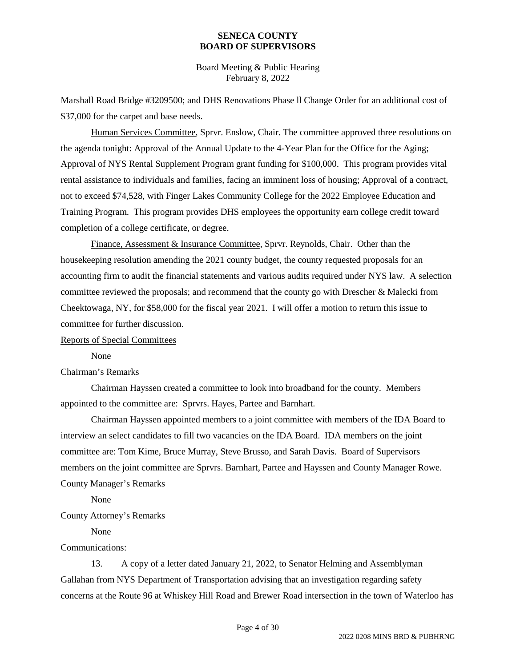Board Meeting & Public Hearing February 8, 2022

Marshall Road Bridge #3209500; and DHS Renovations Phase ll Change Order for an additional cost of \$37,000 for the carpet and base needs.

Human Services Committee, Sprvr. Enslow, Chair. The committee approved three resolutions on the agenda tonight: Approval of the Annual Update to the 4-Year Plan for the Office for the Aging; Approval of NYS Rental Supplement Program grant funding for \$100,000. This program provides vital rental assistance to individuals and families, facing an imminent loss of housing; Approval of a contract, not to exceed \$74,528, with Finger Lakes Community College for the 2022 Employee Education and Training Program. This program provides DHS employees the opportunity earn college credit toward completion of a college certificate, or degree.

Finance, Assessment & Insurance Committee, Sprvr. Reynolds, Chair. Other than the housekeeping resolution amending the 2021 county budget, the county requested proposals for an accounting firm to audit the financial statements and various audits required under NYS law. A selection committee reviewed the proposals; and recommend that the county go with Drescher & Malecki from Cheektowaga, NY, for \$58,000 for the fiscal year 2021. I will offer a motion to return this issue to committee for further discussion.

#### Reports of Special Committees

None

### Chairman's Remarks

Chairman Hayssen created a committee to look into broadband for the county. Members appointed to the committee are: Sprvrs. Hayes, Partee and Barnhart.

Chairman Hayssen appointed members to a joint committee with members of the IDA Board to interview an select candidates to fill two vacancies on the IDA Board. IDA members on the joint committee are: Tom Kime, Bruce Murray, Steve Brusso, and Sarah Davis. Board of Supervisors members on the joint committee are Sprvrs. Barnhart, Partee and Hayssen and County Manager Rowe. County Manager's Remarks

None

### County Attorney's Remarks

None

### Communications:

13. A copy of a letter dated January 21, 2022, to Senator Helming and Assemblyman Gallahan from NYS Department of Transportation advising that an investigation regarding safety concerns at the Route 96 at Whiskey Hill Road and Brewer Road intersection in the town of Waterloo has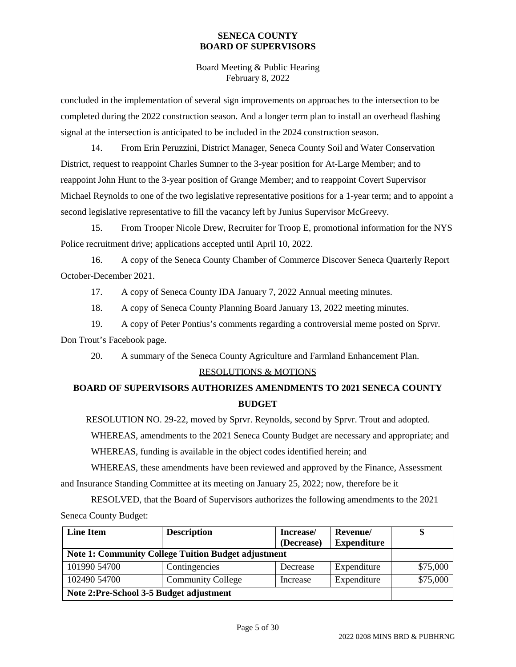Board Meeting & Public Hearing February 8, 2022

concluded in the implementation of several sign improvements on approaches to the intersection to be completed during the 2022 construction season. And a longer term plan to install an overhead flashing signal at the intersection is anticipated to be included in the 2024 construction season.

14. From Erin Peruzzini, District Manager, Seneca County Soil and Water Conservation District, request to reappoint Charles Sumner to the 3-year position for At-Large Member; and to reappoint John Hunt to the 3-year position of Grange Member; and to reappoint Covert Supervisor Michael Reynolds to one of the two legislative representative positions for a 1-year term; and to appoint a second legislative representative to fill the vacancy left by Junius Supervisor McGreevy.

15. From Trooper Nicole Drew, Recruiter for Troop E, promotional information for the NYS Police recruitment drive; applications accepted until April 10, 2022.

16. A copy of the Seneca County Chamber of Commerce Discover Seneca Quarterly Report October-December 2021.

17. A copy of Seneca County IDA January 7, 2022 Annual meeting minutes.

18. A copy of Seneca County Planning Board January 13, 2022 meeting minutes.

19. A copy of Peter Pontius's comments regarding a controversial meme posted on Sprvr. Don Trout's Facebook page.

20. A summary of the Seneca County Agriculture and Farmland Enhancement Plan.

## RESOLUTIONS & MOTIONS

## **BOARD OF SUPERVISORS AUTHORIZES AMENDMENTS TO 2021 SENECA COUNTY BUDGET**

RESOLUTION NO. 29-22, moved by Sprvr. Reynolds, second by Sprvr. Trout and adopted.

WHEREAS, amendments to the 2021 Seneca County Budget are necessary and appropriate; and WHEREAS, funding is available in the object codes identified herein; and

WHEREAS, these amendments have been reviewed and approved by the Finance, Assessment and Insurance Standing Committee at its meeting on January 25, 2022; now, therefore be it

RESOLVED, that the Board of Supervisors authorizes the following amendments to the 2021 Seneca County Budget:

| <b>Line Item</b>                                           | <b>Description</b>       | Increase/  | Revenue/           | D        |
|------------------------------------------------------------|--------------------------|------------|--------------------|----------|
|                                                            |                          | (Decrease) | <b>Expenditure</b> |          |
| <b>Note 1: Community College Tuition Budget adjustment</b> |                          |            |                    |          |
| 101990 54700                                               | Contingencies            | Decrease   | Expenditure        | \$75,000 |
| 102490 54700                                               | <b>Community College</b> | Increase   | Expenditure        | \$75,000 |
| Note 2:Pre-School 3-5 Budget adjustment                    |                          |            |                    |          |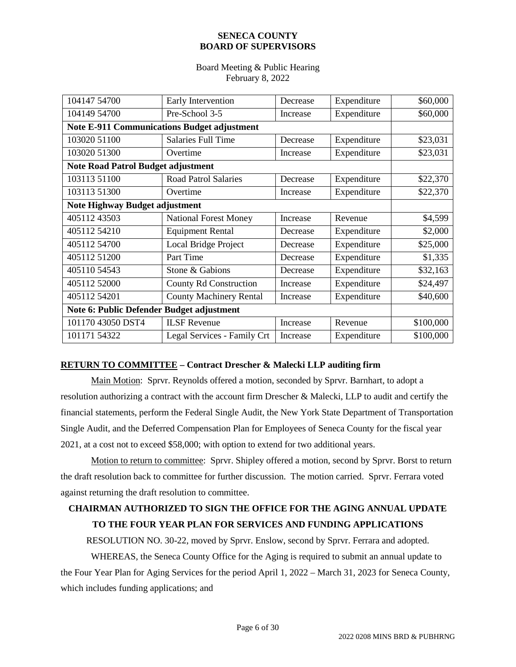### Board Meeting & Public Hearing February 8, 2022

| 104147 54700                                       | Early Intervention             | Decrease | Expenditure | \$60,000  |
|----------------------------------------------------|--------------------------------|----------|-------------|-----------|
| 104149 54700                                       | Pre-School 3-5                 | Increase | Expenditure | \$60,000  |
| <b>Note E-911 Communications Budget adjustment</b> |                                |          |             |           |
|                                                    |                                |          |             |           |
| 103020 51100                                       | <b>Salaries Full Time</b>      | Decrease | Expenditure | \$23,031  |
| 103020 51300                                       | Overtime                       | Increase | Expenditure | \$23,031  |
| <b>Note Road Patrol Budget adjustment</b>          |                                |          |             |           |
| 103113 51100                                       | <b>Road Patrol Salaries</b>    | Decrease | Expenditure | \$22,370  |
| 103113 51300                                       | Overtime                       | Increase | Expenditure | \$22,370  |
| Note Highway Budget adjustment                     |                                |          |             |           |
| 40511243503                                        | <b>National Forest Money</b>   | Increase | Revenue     | \$4,599   |
| 40511254210                                        | <b>Equipment Rental</b>        | Decrease | Expenditure | \$2,000   |
| 405112 54700                                       | Local Bridge Project           | Decrease | Expenditure | \$25,000  |
| 40511251200                                        | Part Time                      | Decrease | Expenditure | \$1,335   |
| 40511054543                                        | Stone & Gabions                | Decrease | Expenditure | \$32,163  |
| 405112 52000                                       | <b>County Rd Construction</b>  | Increase | Expenditure | \$24,497  |
| 40511254201                                        | <b>County Machinery Rental</b> | Increase | Expenditure | \$40,600  |
| Note 6: Public Defender Budget adjustment          |                                |          |             |           |
| 101170 43050 DST4                                  | <b>ILSF</b> Revenue            | Increase | Revenue     | \$100,000 |
| 101171 54322                                       | Legal Services - Family Crt    | Increase | Expenditure | \$100,000 |

## **RETURN TO COMMITTEE – Contract Drescher & Malecki LLP auditing firm**

Main Motion: Sprvr. Reynolds offered a motion, seconded by Sprvr. Barnhart, to adopt a resolution authorizing a contract with the account firm Drescher & Malecki, LLP to audit and certify the financial statements, perform the Federal Single Audit, the New York State Department of Transportation Single Audit, and the Deferred Compensation Plan for Employees of Seneca County for the fiscal year 2021, at a cost not to exceed \$58,000; with option to extend for two additional years.

Motion to return to committee: Sprvr. Shipley offered a motion, second by Sprvr. Borst to return the draft resolution back to committee for further discussion. The motion carried. Sprvr. Ferrara voted against returning the draft resolution to committee.

## **CHAIRMAN AUTHORIZED TO SIGN THE OFFICE FOR THE AGING ANNUAL UPDATE TO THE FOUR YEAR PLAN FOR SERVICES AND FUNDING APPLICATIONS**

RESOLUTION NO. 30-22, moved by Sprvr. Enslow, second by Sprvr. Ferrara and adopted.

WHEREAS, the Seneca County Office for the Aging is required to submit an annual update to the Four Year Plan for Aging Services for the period April 1, 2022 – March 31, 2023 for Seneca County, which includes funding applications; and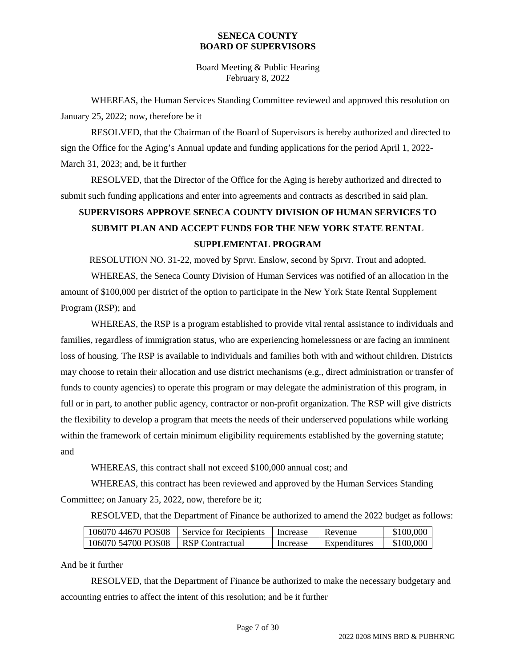Board Meeting & Public Hearing February 8, 2022

WHEREAS, the Human Services Standing Committee reviewed and approved this resolution on January 25, 2022; now, therefore be it

RESOLVED, that the Chairman of the Board of Supervisors is hereby authorized and directed to sign the Office for the Aging's Annual update and funding applications for the period April 1, 2022- March 31, 2023; and, be it further

RESOLVED, that the Director of the Office for the Aging is hereby authorized and directed to submit such funding applications and enter into agreements and contracts as described in said plan.

# **SUPERVISORS APPROVE SENECA COUNTY DIVISION OF HUMAN SERVICES TO SUBMIT PLAN AND ACCEPT FUNDS FOR THE NEW YORK STATE RENTAL SUPPLEMENTAL PROGRAM**

RESOLUTION NO. 31-22, moved by Sprvr. Enslow, second by Sprvr. Trout and adopted.

WHEREAS, the Seneca County Division of Human Services was notified of an allocation in the amount of \$100,000 per district of the option to participate in the New York State Rental Supplement Program (RSP); and

WHEREAS, the RSP is a program established to provide vital rental assistance to individuals and families, regardless of immigration status, who are experiencing homelessness or are facing an imminent loss of housing. The RSP is available to individuals and families both with and without children. Districts may choose to retain their allocation and use district mechanisms (e.g., direct administration or transfer of funds to county agencies) to operate this program or may delegate the administration of this program, in full or in part, to another public agency, contractor or non-profit organization. The RSP will give districts the flexibility to develop a program that meets the needs of their underserved populations while working within the framework of certain minimum eligibility requirements established by the governing statute; and

WHEREAS, this contract shall not exceed \$100,000 annual cost; and

WHEREAS, this contract has been reviewed and approved by the Human Services Standing Committee; on January 25, 2022, now, therefore be it;

RESOLVED, that the Department of Finance be authorized to amend the 2022 budget as follows:

| 106070 44670 POS08 | Service for Recipients | Increase | Revenue      | \$100,000 |
|--------------------|------------------------|----------|--------------|-----------|
| 106070 54700 POS08 | RSP Contractual        | Increase | Expenditures | \$100,000 |

And be it further

RESOLVED, that the Department of Finance be authorized to make the necessary budgetary and accounting entries to affect the intent of this resolution; and be it further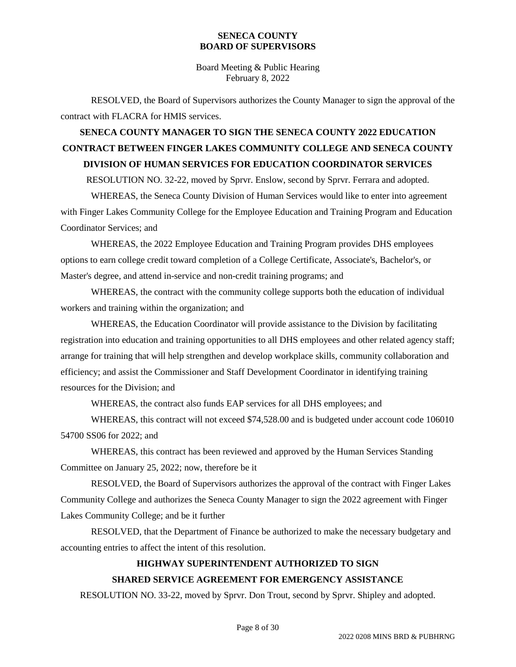Board Meeting & Public Hearing February 8, 2022

RESOLVED, the Board of Supervisors authorizes the County Manager to sign the approval of the contract with FLACRA for HMIS services.

# **SENECA COUNTY MANAGER TO SIGN THE SENECA COUNTY 2022 EDUCATION CONTRACT BETWEEN FINGER LAKES COMMUNITY COLLEGE AND SENECA COUNTY DIVISION OF HUMAN SERVICES FOR EDUCATION COORDINATOR SERVICES**

RESOLUTION NO. 32-22, moved by Sprvr. Enslow, second by Sprvr. Ferrara and adopted.

WHEREAS, the Seneca County Division of Human Services would like to enter into agreement with Finger Lakes Community College for the Employee Education and Training Program and Education Coordinator Services; and

WHEREAS, the 2022 Employee Education and Training Program provides DHS employees options to earn college credit toward completion of a College Certificate, Associate's, Bachelor's, or Master's degree, and attend in-service and non-credit training programs; and

WHEREAS, the contract with the community college supports both the education of individual workers and training within the organization; and

WHEREAS, the Education Coordinator will provide assistance to the Division by facilitating registration into education and training opportunities to all DHS employees and other related agency staff; arrange for training that will help strengthen and develop workplace skills, community collaboration and efficiency; and assist the Commissioner and Staff Development Coordinator in identifying training resources for the Division; and

WHEREAS, the contract also funds EAP services for all DHS employees; and

WHEREAS, this contract will not exceed \$74,528.00 and is budgeted under account code 106010 54700 SS06 for 2022; and

WHEREAS, this contract has been reviewed and approved by the Human Services Standing Committee on January 25, 2022; now, therefore be it

RESOLVED, the Board of Supervisors authorizes the approval of the contract with Finger Lakes Community College and authorizes the Seneca County Manager to sign the 2022 agreement with Finger Lakes Community College; and be it further

RESOLVED, that the Department of Finance be authorized to make the necessary budgetary and accounting entries to affect the intent of this resolution.

## **HIGHWAY SUPERINTENDENT AUTHORIZED TO SIGN**

## **SHARED SERVICE AGREEMENT FOR EMERGENCY ASSISTANCE**

RESOLUTION NO. 33-22, moved by Sprvr. Don Trout, second by Sprvr. Shipley and adopted.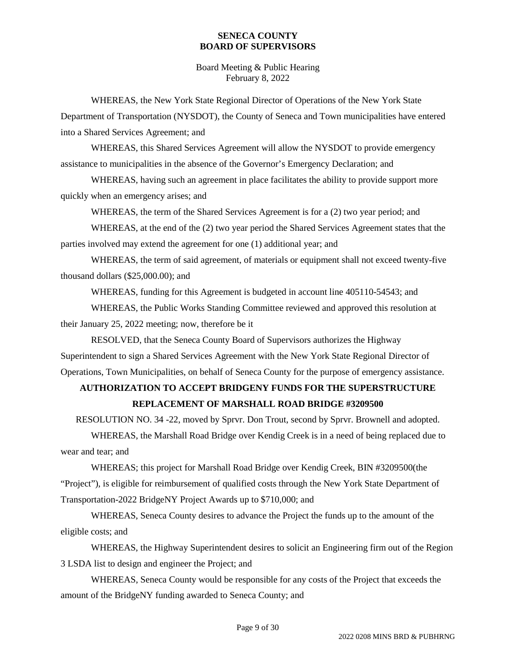Board Meeting & Public Hearing February 8, 2022

WHEREAS, the New York State Regional Director of Operations of the New York State Department of Transportation (NYSDOT), the County of Seneca and Town municipalities have entered into a Shared Services Agreement; and

WHEREAS, this Shared Services Agreement will allow the NYSDOT to provide emergency assistance to municipalities in the absence of the Governor's Emergency Declaration; and

WHEREAS, having such an agreement in place facilitates the ability to provide support more quickly when an emergency arises; and

WHEREAS, the term of the Shared Services Agreement is for a (2) two year period; and

WHEREAS, at the end of the (2) two year period the Shared Services Agreement states that the parties involved may extend the agreement for one (1) additional year; and

WHEREAS, the term of said agreement, of materials or equipment shall not exceed twenty-five thousand dollars (\$25,000.00); and

WHEREAS, funding for this Agreement is budgeted in account line 405110-54543; and

WHEREAS, the Public Works Standing Committee reviewed and approved this resolution at their January 25, 2022 meeting; now, therefore be it

RESOLVED, that the Seneca County Board of Supervisors authorizes the Highway Superintendent to sign a Shared Services Agreement with the New York State Regional Director of Operations, Town Municipalities, on behalf of Seneca County for the purpose of emergency assistance.

# **AUTHORIZATION TO ACCEPT BRIDGENY FUNDS FOR THE SUPERSTRUCTURE REPLACEMENT OF MARSHALL ROAD BRIDGE #3209500**

RESOLUTION NO. 34 -22, moved by Sprvr. Don Trout, second by Sprvr. Brownell and adopted.

WHEREAS, the Marshall Road Bridge over Kendig Creek is in a need of being replaced due to wear and tear; and

WHEREAS; this project for Marshall Road Bridge over Kendig Creek, BIN #3209500(the "Project"), is eligible for reimbursement of qualified costs through the New York State Department of Transportation-2022 BridgeNY Project Awards up to \$710,000; and

WHEREAS, Seneca County desires to advance the Project the funds up to the amount of the eligible costs; and

WHEREAS, the Highway Superintendent desires to solicit an Engineering firm out of the Region 3 LSDA list to design and engineer the Project; and

WHEREAS, Seneca County would be responsible for any costs of the Project that exceeds the amount of the BridgeNY funding awarded to Seneca County; and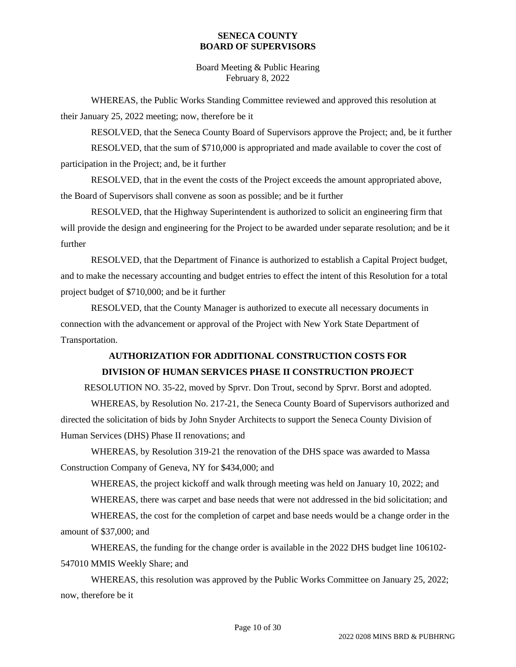Board Meeting & Public Hearing February 8, 2022

WHEREAS, the Public Works Standing Committee reviewed and approved this resolution at their January 25, 2022 meeting; now, therefore be it

RESOLVED, that the Seneca County Board of Supervisors approve the Project; and, be it further

RESOLVED, that the sum of \$710,000 is appropriated and made available to cover the cost of participation in the Project; and, be it further

RESOLVED, that in the event the costs of the Project exceeds the amount appropriated above, the Board of Supervisors shall convene as soon as possible; and be it further

RESOLVED, that the Highway Superintendent is authorized to solicit an engineering firm that will provide the design and engineering for the Project to be awarded under separate resolution; and be it further

RESOLVED, that the Department of Finance is authorized to establish a Capital Project budget, and to make the necessary accounting and budget entries to effect the intent of this Resolution for a total project budget of \$710,000; and be it further

RESOLVED, that the County Manager is authorized to execute all necessary documents in connection with the advancement or approval of the Project with New York State Department of Transportation.

# **AUTHORIZATION FOR ADDITIONAL CONSTRUCTION COSTS FOR DIVISION OF HUMAN SERVICES PHASE II CONSTRUCTION PROJECT**

RESOLUTION NO. 35-22, moved by Sprvr. Don Trout, second by Sprvr. Borst and adopted.

WHEREAS, by Resolution No. 217-21, the Seneca County Board of Supervisors authorized and directed the solicitation of bids by John Snyder Architects to support the Seneca County Division of Human Services (DHS) Phase II renovations; and

WHEREAS, by Resolution 319-21 the renovation of the DHS space was awarded to Massa Construction Company of Geneva, NY for \$434,000; and

WHEREAS, the project kickoff and walk through meeting was held on January 10, 2022; and

WHEREAS, there was carpet and base needs that were not addressed in the bid solicitation; and

WHEREAS, the cost for the completion of carpet and base needs would be a change order in the amount of \$37,000; and

WHEREAS, the funding for the change order is available in the 2022 DHS budget line 106102- 547010 MMIS Weekly Share; and

WHEREAS, this resolution was approved by the Public Works Committee on January 25, 2022; now, therefore be it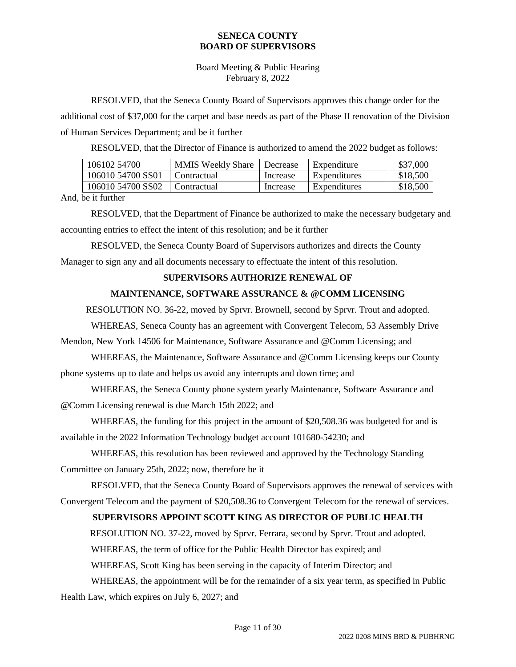Board Meeting & Public Hearing February 8, 2022

RESOLVED, that the Seneca County Board of Supervisors approves this change order for the additional cost of \$37,000 for the carpet and base needs as part of the Phase II renovation of the Division of Human Services Department; and be it further

RESOLVED, that the Director of Finance is authorized to amend the 2022 budget as follows:

| 106102 54700      | <b>MMIS Weekly Share</b> | Decrease | Expenditure  | \$37,000 |
|-------------------|--------------------------|----------|--------------|----------|
| 106010 54700 SS01 | Contractual              | Increase | Expenditures | \$18,500 |
| 106010 54700 SS02 | Contractual              | Increase | Expenditures | \$18,500 |

And, be it further

RESOLVED, that the Department of Finance be authorized to make the necessary budgetary and accounting entries to effect the intent of this resolution; and be it further

RESOLVED, the Seneca County Board of Supervisors authorizes and directs the County Manager to sign any and all documents necessary to effectuate the intent of this resolution.

### **SUPERVISORS AUTHORIZE RENEWAL OF**

### **MAINTENANCE, SOFTWARE ASSURANCE & @COMM LICENSING**

RESOLUTION NO. 36-22, moved by Sprvr. Brownell, second by Sprvr. Trout and adopted.

WHEREAS, Seneca County has an agreement with Convergent Telecom, 53 Assembly Drive

Mendon, New York 14506 for Maintenance, Software Assurance and @Comm Licensing; and

WHEREAS, the Maintenance, Software Assurance and @Comm Licensing keeps our County phone systems up to date and helps us avoid any interrupts and down time; and

WHEREAS, the Seneca County phone system yearly Maintenance, Software Assurance and @Comm Licensing renewal is due March 15th 2022; and

WHEREAS, the funding for this project in the amount of \$20,508.36 was budgeted for and is available in the 2022 Information Technology budget account 101680-54230; and

WHEREAS, this resolution has been reviewed and approved by the Technology Standing Committee on January 25th, 2022; now, therefore be it

RESOLVED, that the Seneca County Board of Supervisors approves the renewal of services with Convergent Telecom and the payment of \$20,508.36 to Convergent Telecom for the renewal of services.

## **SUPERVISORS APPOINT SCOTT KING AS DIRECTOR OF PUBLIC HEALTH**

RESOLUTION NO. 37-22, moved by Sprvr. Ferrara, second by Sprvr. Trout and adopted.

WHEREAS, the term of office for the Public Health Director has expired; and

WHEREAS, Scott King has been serving in the capacity of Interim Director; and

WHEREAS, the appointment will be for the remainder of a six year term, as specified in Public Health Law, which expires on July 6, 2027; and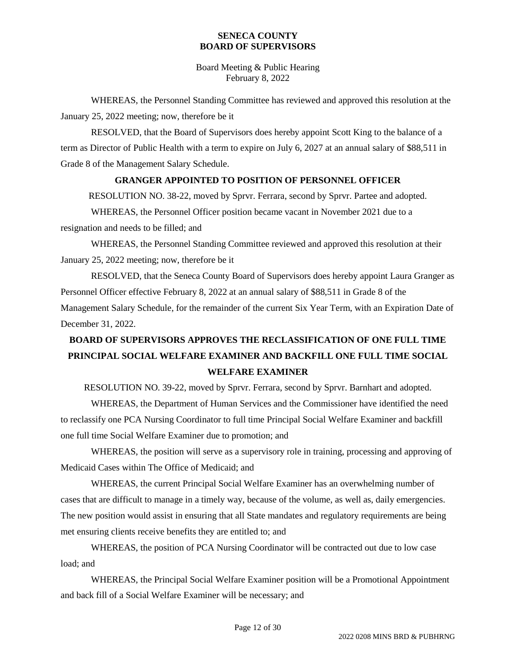Board Meeting & Public Hearing February 8, 2022

WHEREAS, the Personnel Standing Committee has reviewed and approved this resolution at the January 25, 2022 meeting; now, therefore be it

RESOLVED, that the Board of Supervisors does hereby appoint Scott King to the balance of a term as Director of Public Health with a term to expire on July 6, 2027 at an annual salary of \$88,511 in Grade 8 of the Management Salary Schedule.

### **GRANGER APPOINTED TO POSITION OF PERSONNEL OFFICER**

RESOLUTION NO. 38-22, moved by Sprvr. Ferrara, second by Sprvr. Partee and adopted.

WHEREAS, the Personnel Officer position became vacant in November 2021 due to a resignation and needs to be filled; and

WHEREAS, the Personnel Standing Committee reviewed and approved this resolution at their January 25, 2022 meeting; now, therefore be it

RESOLVED, that the Seneca County Board of Supervisors does hereby appoint Laura Granger as Personnel Officer effective February 8, 2022 at an annual salary of \$88,511 in Grade 8 of the Management Salary Schedule, for the remainder of the current Six Year Term, with an Expiration Date of December 31, 2022.

# **BOARD OF SUPERVISORS APPROVES THE RECLASSIFICATION OF ONE FULL TIME PRINCIPAL SOCIAL WELFARE EXAMINER AND BACKFILL ONE FULL TIME SOCIAL WELFARE EXAMINER**

RESOLUTION NO. 39-22, moved by Sprvr. Ferrara, second by Sprvr. Barnhart and adopted.

WHEREAS, the Department of Human Services and the Commissioner have identified the need to reclassify one PCA Nursing Coordinator to full time Principal Social Welfare Examiner and backfill one full time Social Welfare Examiner due to promotion; and

WHEREAS, the position will serve as a supervisory role in training, processing and approving of Medicaid Cases within The Office of Medicaid; and

WHEREAS, the current Principal Social Welfare Examiner has an overwhelming number of cases that are difficult to manage in a timely way, because of the volume, as well as, daily emergencies. The new position would assist in ensuring that all State mandates and regulatory requirements are being met ensuring clients receive benefits they are entitled to; and

WHEREAS, the position of PCA Nursing Coordinator will be contracted out due to low case load; and

WHEREAS, the Principal Social Welfare Examiner position will be a Promotional Appointment and back fill of a Social Welfare Examiner will be necessary; and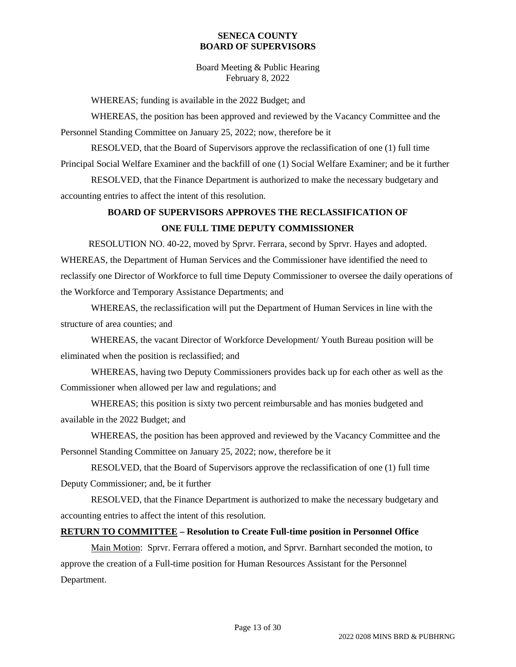Board Meeting & Public Hearing February 8, 2022

WHEREAS; funding is available in the 2022 Budget; and

WHEREAS, the position has been approved and reviewed by the Vacancy Committee and the Personnel Standing Committee on January 25, 2022; now, therefore be it

RESOLVED, that the Board of Supervisors approve the reclassification of one (1) full time Principal Social Welfare Examiner and the backfill of one (1) Social Welfare Examiner; and be it further

RESOLVED, that the Finance Department is authorized to make the necessary budgetary and accounting entries to affect the intent of this resolution.

## **BOARD OF SUPERVISORS APPROVES THE RECLASSIFICATION OF ONE FULL TIME DEPUTY COMMISSIONER**

RESOLUTION NO. 40-22, moved by Sprvr. Ferrara, second by Sprvr. Hayes and adopted. WHEREAS, the Department of Human Services and the Commissioner have identified the need to reclassify one Director of Workforce to full time Deputy Commissioner to oversee the daily operations of the Workforce and Temporary Assistance Departments; and

WHEREAS, the reclassification will put the Department of Human Services in line with the structure of area counties; and

WHEREAS, the vacant Director of Workforce Development/ Youth Bureau position will be eliminated when the position is reclassified; and

WHEREAS, having two Deputy Commissioners provides back up for each other as well as the Commissioner when allowed per law and regulations; and

WHEREAS; this position is sixty two percent reimbursable and has monies budgeted and available in the 2022 Budget; and

WHEREAS, the position has been approved and reviewed by the Vacancy Committee and the Personnel Standing Committee on January 25, 2022; now, therefore be it

RESOLVED, that the Board of Supervisors approve the reclassification of one (1) full time Deputy Commissioner; and, be it further

RESOLVED, that the Finance Department is authorized to make the necessary budgetary and accounting entries to affect the intent of this resolution.

## **RETURN TO COMMITTEE – Resolution to Create Full-time position in Personnel Office**

Main Motion: Sprvr. Ferrara offered a motion, and Sprvr. Barnhart seconded the motion, to approve the creation of a Full-time position for Human Resources Assistant for the Personnel Department.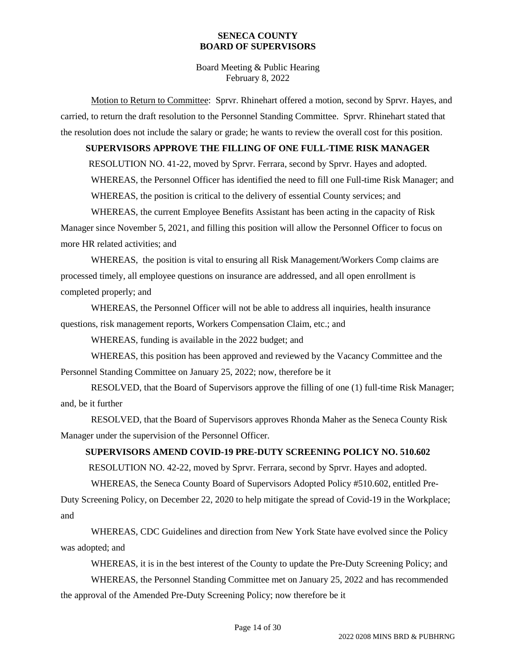Board Meeting & Public Hearing February 8, 2022

Motion to Return to Committee: Sprvr. Rhinehart offered a motion, second by Sprvr. Hayes, and carried, to return the draft resolution to the Personnel Standing Committee. Sprvr. Rhinehart stated that the resolution does not include the salary or grade; he wants to review the overall cost for this position.

### **SUPERVISORS APPROVE THE FILLING OF ONE FULL-TIME RISK MANAGER**

RESOLUTION NO. 41-22, moved by Sprvr. Ferrara, second by Sprvr. Hayes and adopted.

WHEREAS, the Personnel Officer has identified the need to fill one Full-time Risk Manager; and

WHEREAS, the position is critical to the delivery of essential County services; and

WHEREAS, the current Employee Benefits Assistant has been acting in the capacity of Risk Manager since November 5, 2021, and filling this position will allow the Personnel Officer to focus on more HR related activities; and

WHEREAS, the position is vital to ensuring all Risk Management/Workers Comp claims are processed timely, all employee questions on insurance are addressed, and all open enrollment is completed properly; and

WHEREAS, the Personnel Officer will not be able to address all inquiries, health insurance questions, risk management reports, Workers Compensation Claim, etc.; and

WHEREAS, funding is available in the 2022 budget; and

WHEREAS, this position has been approved and reviewed by the Vacancy Committee and the Personnel Standing Committee on January 25, 2022; now, therefore be it

RESOLVED, that the Board of Supervisors approve the filling of one (1) full-time Risk Manager; and, be it further

RESOLVED, that the Board of Supervisors approves Rhonda Maher as the Seneca County Risk Manager under the supervision of the Personnel Officer.

## **SUPERVISORS AMEND COVID-19 PRE-DUTY SCREENING POLICY NO. 510.602**

RESOLUTION NO. 42-22, moved by Sprvr. Ferrara, second by Sprvr. Hayes and adopted.

WHEREAS, the Seneca County Board of Supervisors Adopted Policy #510.602, entitled Pre-Duty Screening Policy, on December 22, 2020 to help mitigate the spread of Covid-19 in the Workplace; and

WHEREAS, CDC Guidelines and direction from New York State have evolved since the Policy was adopted; and

WHEREAS, it is in the best interest of the County to update the Pre-Duty Screening Policy; and

WHEREAS, the Personnel Standing Committee met on January 25, 2022 and has recommended the approval of the Amended Pre-Duty Screening Policy; now therefore be it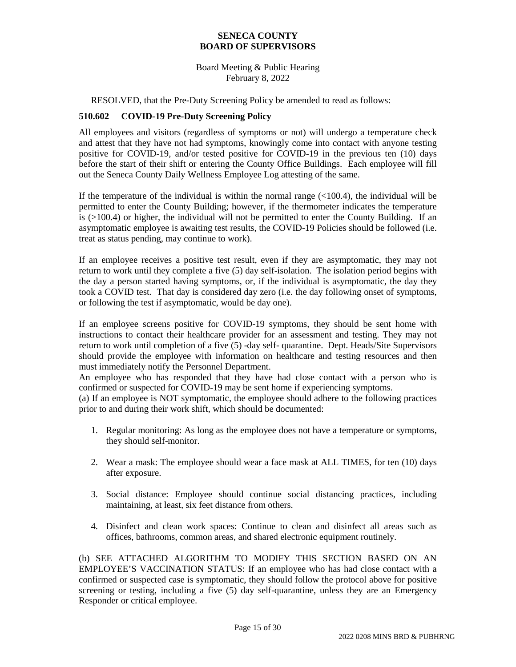Board Meeting & Public Hearing February 8, 2022

RESOLVED, that the Pre-Duty Screening Policy be amended to read as follows:

### **510.602 COVID-19 Pre-Duty Screening Policy**

All employees and visitors (regardless of symptoms or not) will undergo a temperature check and attest that they have not had symptoms, knowingly come into contact with anyone testing positive for COVID-19, and/or tested positive for COVID-19 in the previous ten (10) days before the start of their shift or entering the County Office Buildings. Each employee will fill out the Seneca County Daily Wellness Employee Log attesting of the same.

If the temperature of the individual is within the normal range  $\ll 100.4$ ), the individual will be permitted to enter the County Building; however, if the thermometer indicates the temperature is (>100.4) or higher, the individual will not be permitted to enter the County Building. If an asymptomatic employee is awaiting test results, the COVID-19 Policies should be followed (i.e. treat as status pending, may continue to work).

If an employee receives a positive test result, even if they are asymptomatic, they may not return to work until they complete a five (5) day self-isolation. The isolation period begins with the day a person started having symptoms, or, if the individual is asymptomatic, the day they took a COVID test. That day is considered day zero (i.e. the day following onset of symptoms, or following the test if asymptomatic, would be day one).

If an employee screens positive for COVID-19 symptoms, they should be sent home with instructions to contact their healthcare provider for an assessment and testing. They may not return to work until completion of a five (5) -day self- quarantine. Dept. Heads/Site Supervisors should provide the employee with information on healthcare and testing resources and then must immediately notify the Personnel Department.

An employee who has responded that they have had close contact with a person who is confirmed or suspected for COVID-19 may be sent home if experiencing symptoms.

(a) If an employee is NOT symptomatic, the employee should adhere to the following practices prior to and during their work shift, which should be documented:

- 1. Regular monitoring: As long as the employee does not have a temperature or symptoms, they should self-monitor.
- 2. Wear a mask: The employee should wear a face mask at ALL TIMES, for ten (10) days after exposure.
- 3. Social distance: Employee should continue social distancing practices, including maintaining, at least, six feet distance from others.
- 4. Disinfect and clean work spaces: Continue to clean and disinfect all areas such as offices, bathrooms, common areas, and shared electronic equipment routinely.

(b) SEE ATTACHED ALGORITHM TO MODIFY THIS SECTION BASED ON AN EMPLOYEE'S VACCINATION STATUS: If an employee who has had close contact with a confirmed or suspected case is symptomatic, they should follow the protocol above for positive screening or testing, including a five (5) day self-quarantine, unless they are an Emergency Responder or critical employee.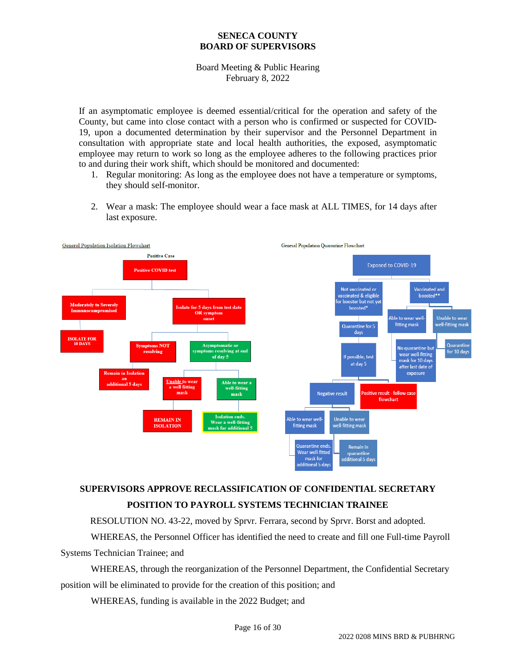Board Meeting & Public Hearing February 8, 2022

If an asymptomatic employee is deemed essential/critical for the operation and safety of the County, but came into close contact with a person who is confirmed or suspected for COVID-19, upon a documented determination by their supervisor and the Personnel Department in consultation with appropriate state and local health authorities, the exposed, asymptomatic employee may return to work so long as the employee adheres to the following practices prior to and during their work shift, which should be monitored and documented:

- 1. Regular monitoring: As long as the employee does not have a temperature or symptoms, they should self-monitor.
- 2. Wear a mask: The employee should wear a face mask at ALL TIMES, for 14 days after last exposure.



# **SUPERVISORS APPROVE RECLASSIFICATION OF CONFIDENTIAL SECRETARY POSITION TO PAYROLL SYSTEMS TECHNICIAN TRAINEE**

RESOLUTION NO. 43-22, moved by Sprvr. Ferrara, second by Sprvr. Borst and adopted.

WHEREAS, the Personnel Officer has identified the need to create and fill one Full-time Payroll Systems Technician Trainee; and

WHEREAS, through the reorganization of the Personnel Department, the Confidential Secretary position will be eliminated to provide for the creation of this position; and

WHEREAS, funding is available in the 2022 Budget; and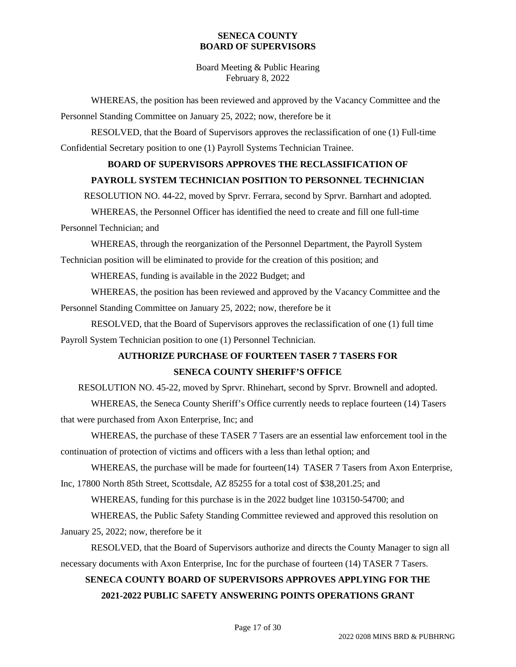Board Meeting & Public Hearing February 8, 2022

WHEREAS, the position has been reviewed and approved by the Vacancy Committee and the Personnel Standing Committee on January 25, 2022; now, therefore be it

RESOLVED, that the Board of Supervisors approves the reclassification of one (1) Full-time Confidential Secretary position to one (1) Payroll Systems Technician Trainee.

## **BOARD OF SUPERVISORS APPROVES THE RECLASSIFICATION OF**

## **PAYROLL SYSTEM TECHNICIAN POSITION TO PERSONNEL TECHNICIAN**

RESOLUTION NO. 44-22, moved by Sprvr. Ferrara, second by Sprvr. Barnhart and adopted.

WHEREAS, the Personnel Officer has identified the need to create and fill one full-time

Personnel Technician; and

WHEREAS, through the reorganization of the Personnel Department, the Payroll System Technician position will be eliminated to provide for the creation of this position; and

WHEREAS, funding is available in the 2022 Budget; and

WHEREAS, the position has been reviewed and approved by the Vacancy Committee and the Personnel Standing Committee on January 25, 2022; now, therefore be it

RESOLVED, that the Board of Supervisors approves the reclassification of one (1) full time Payroll System Technician position to one (1) Personnel Technician.

## **AUTHORIZE PURCHASE OF FOURTEEN TASER 7 TASERS FOR SENECA COUNTY SHERIFF'S OFFICE**

RESOLUTION NO. 45-22, moved by Sprvr. Rhinehart, second by Sprvr. Brownell and adopted.

WHEREAS, the Seneca County Sheriff's Office currently needs to replace fourteen (14) Tasers that were purchased from Axon Enterprise, Inc; and

WHEREAS, the purchase of these TASER 7 Tasers are an essential law enforcement tool in the continuation of protection of victims and officers with a less than lethal option; and

WHEREAS, the purchase will be made for fourteen(14) TASER 7 Tasers from Axon Enterprise, Inc, 17800 North 85th Street, Scottsdale, AZ 85255 for a total cost of \$38,201.25; and

WHEREAS, funding for this purchase is in the 2022 budget line 103150-54700; and

WHEREAS, the Public Safety Standing Committee reviewed and approved this resolution on January 25, 2022; now, therefore be it

RESOLVED, that the Board of Supervisors authorize and directs the County Manager to sign all necessary documents with Axon Enterprise, Inc for the purchase of fourteen (14) TASER 7 Tasers.

# **SENECA COUNTY BOARD OF SUPERVISORS APPROVES APPLYING FOR THE 2021-2022 PUBLIC SAFETY ANSWERING POINTS OPERATIONS GRANT**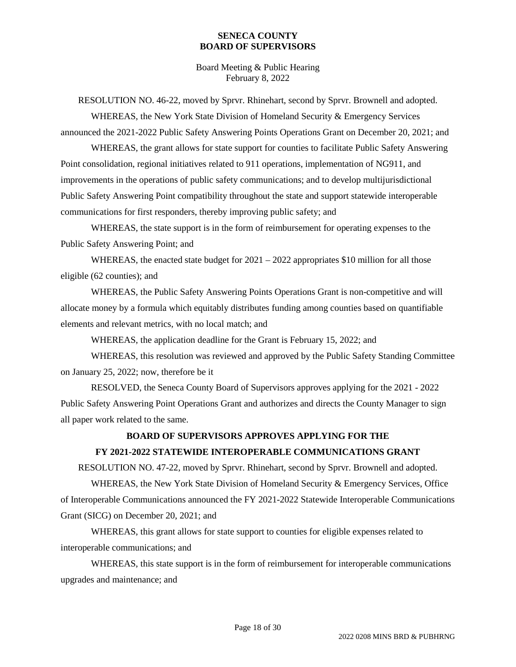Board Meeting & Public Hearing February 8, 2022

RESOLUTION NO. 46-22, moved by Sprvr. Rhinehart, second by Sprvr. Brownell and adopted.

WHEREAS, the New York State Division of Homeland Security & Emergency Services announced the 2021-2022 Public Safety Answering Points Operations Grant on December 20, 2021; and

WHEREAS, the grant allows for state support for counties to facilitate Public Safety Answering Point consolidation, regional initiatives related to 911 operations, implementation of NG911, and improvements in the operations of public safety communications; and to develop multijurisdictional Public Safety Answering Point compatibility throughout the state and support statewide interoperable communications for first responders, thereby improving public safety; and

WHEREAS, the state support is in the form of reimbursement for operating expenses to the Public Safety Answering Point; and

WHEREAS, the enacted state budget for  $2021 - 2022$  appropriates \$10 million for all those eligible (62 counties); and

WHEREAS, the Public Safety Answering Points Operations Grant is non-competitive and will allocate money by a formula which equitably distributes funding among counties based on quantifiable elements and relevant metrics, with no local match; and

WHEREAS, the application deadline for the Grant is February 15, 2022; and

WHEREAS, this resolution was reviewed and approved by the Public Safety Standing Committee on January 25, 2022; now, therefore be it

RESOLVED, the Seneca County Board of Supervisors approves applying for the 2021 - 2022 Public Safety Answering Point Operations Grant and authorizes and directs the County Manager to sign all paper work related to the same.

## **BOARD OF SUPERVISORS APPROVES APPLYING FOR THE**

## **FY 2021-2022 STATEWIDE INTEROPERABLE COMMUNICATIONS GRANT**

RESOLUTION NO. 47-22, moved by Sprvr. Rhinehart, second by Sprvr. Brownell and adopted.

WHEREAS, the New York State Division of Homeland Security & Emergency Services, Office of Interoperable Communications announced the FY 2021-2022 Statewide Interoperable Communications Grant (SICG) on December 20, 2021; and

WHEREAS, this grant allows for state support to counties for eligible expenses related to interoperable communications; and

WHEREAS, this state support is in the form of reimbursement for interoperable communications upgrades and maintenance; and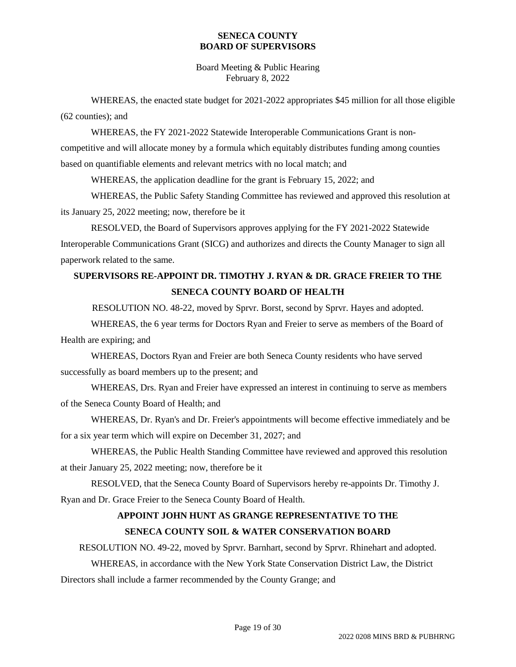Board Meeting & Public Hearing February 8, 2022

WHEREAS, the enacted state budget for 2021-2022 appropriates \$45 million for all those eligible (62 counties); and

WHEREAS, the FY 2021-2022 Statewide Interoperable Communications Grant is noncompetitive and will allocate money by a formula which equitably distributes funding among counties based on quantifiable elements and relevant metrics with no local match; and

WHEREAS, the application deadline for the grant is February 15, 2022; and

WHEREAS, the Public Safety Standing Committee has reviewed and approved this resolution at its January 25, 2022 meeting; now, therefore be it

RESOLVED, the Board of Supervisors approves applying for the FY 2021-2022 Statewide Interoperable Communications Grant (SICG) and authorizes and directs the County Manager to sign all paperwork related to the same.

# **SUPERVISORS RE-APPOINT DR. TIMOTHY J. RYAN & DR. GRACE FREIER TO THE SENECA COUNTY BOARD OF HEALTH**

RESOLUTION NO. 48-22, moved by Sprvr. Borst, second by Sprvr. Hayes and adopted.

WHEREAS, the 6 year terms for Doctors Ryan and Freier to serve as members of the Board of Health are expiring; and

WHEREAS, Doctors Ryan and Freier are both Seneca County residents who have served successfully as board members up to the present; and

WHEREAS, Drs. Ryan and Freier have expressed an interest in continuing to serve as members of the Seneca County Board of Health; and

WHEREAS, Dr. Ryan's and Dr. Freier's appointments will become effective immediately and be for a six year term which will expire on December 31, 2027; and

WHEREAS, the Public Health Standing Committee have reviewed and approved this resolution at their January 25, 2022 meeting; now, therefore be it

RESOLVED, that the Seneca County Board of Supervisors hereby re-appoints Dr. Timothy J. Ryan and Dr. Grace Freier to the Seneca County Board of Health.

# **APPOINT JOHN HUNT AS GRANGE REPRESENTATIVE TO THE SENECA COUNTY SOIL & WATER CONSERVATION BOARD**

RESOLUTION NO. 49-22, moved by Sprvr. Barnhart, second by Sprvr. Rhinehart and adopted.

WHEREAS, in accordance with the New York State Conservation District Law, the District

Directors shall include a farmer recommended by the County Grange; and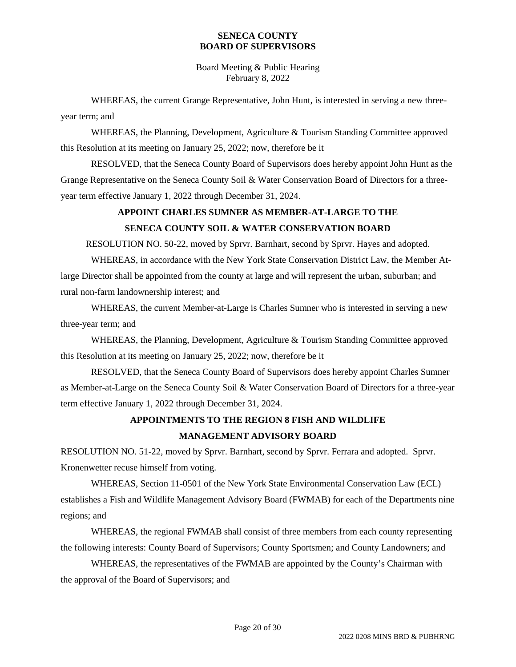Board Meeting & Public Hearing February 8, 2022

WHEREAS, the current Grange Representative, John Hunt, is interested in serving a new threeyear term; and

WHEREAS, the Planning, Development, Agriculture & Tourism Standing Committee approved this Resolution at its meeting on January 25, 2022; now, therefore be it

RESOLVED, that the Seneca County Board of Supervisors does hereby appoint John Hunt as the Grange Representative on the Seneca County Soil & Water Conservation Board of Directors for a threeyear term effective January 1, 2022 through December 31, 2024.

## **APPOINT CHARLES SUMNER AS MEMBER-AT-LARGE TO THE SENECA COUNTY SOIL & WATER CONSERVATION BOARD**

RESOLUTION NO. 50-22, moved by Sprvr. Barnhart, second by Sprvr. Hayes and adopted.

WHEREAS, in accordance with the New York State Conservation District Law, the Member Atlarge Director shall be appointed from the county at large and will represent the urban, suburban; and rural non-farm landownership interest; and

WHEREAS, the current Member-at-Large is Charles Sumner who is interested in serving a new three-year term; and

WHEREAS, the Planning, Development, Agriculture & Tourism Standing Committee approved this Resolution at its meeting on January 25, 2022; now, therefore be it

RESOLVED, that the Seneca County Board of Supervisors does hereby appoint Charles Sumner as Member-at-Large on the Seneca County Soil & Water Conservation Board of Directors for a three-year term effective January 1, 2022 through December 31, 2024.

# **APPOINTMENTS TO THE REGION 8 FISH AND WILDLIFE MANAGEMENT ADVISORY BOARD**

RESOLUTION NO. 51-22, moved by Sprvr. Barnhart, second by Sprvr. Ferrara and adopted. Sprvr. Kronenwetter recuse himself from voting.

WHEREAS, Section 11-0501 of the New York State Environmental Conservation Law (ECL) establishes a Fish and Wildlife Management Advisory Board (FWMAB) for each of the Departments nine regions; and

WHEREAS, the regional FWMAB shall consist of three members from each county representing the following interests: County Board of Supervisors; County Sportsmen; and County Landowners; and

WHEREAS, the representatives of the FWMAB are appointed by the County's Chairman with the approval of the Board of Supervisors; and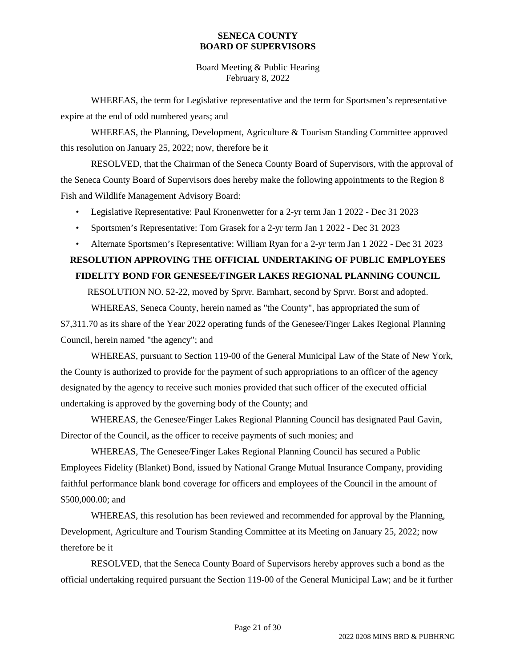Board Meeting & Public Hearing February 8, 2022

WHEREAS, the term for Legislative representative and the term for Sportsmen's representative expire at the end of odd numbered years; and

WHEREAS, the Planning, Development, Agriculture & Tourism Standing Committee approved this resolution on January 25, 2022; now, therefore be it

RESOLVED, that the Chairman of the Seneca County Board of Supervisors, with the approval of the Seneca County Board of Supervisors does hereby make the following appointments to the Region 8 Fish and Wildlife Management Advisory Board:

- Legislative Representative: Paul Kronenwetter for a 2-yr term Jan 1 2022 Dec 31 2023
- Sportsmen's Representative: Tom Grasek for a 2-yr term Jan 1 2022 Dec 31 2023
- Alternate Sportsmen's Representative: William Ryan for a 2-yr term Jan 1 2022 Dec 31 2023

## **RESOLUTION APPROVING THE OFFICIAL UNDERTAKING OF PUBLIC EMPLOYEES FIDELITY BOND FOR GENESEE/FINGER LAKES REGIONAL PLANNING COUNCIL**

RESOLUTION NO. 52-22, moved by Sprvr. Barnhart, second by Sprvr. Borst and adopted. WHEREAS, Seneca County, herein named as "the County", has appropriated the sum of

\$7,311.70 as its share of the Year 2022 operating funds of the Genesee/Finger Lakes Regional Planning Council, herein named "the agency"; and

WHEREAS, pursuant to Section 119-00 of the General Municipal Law of the State of New York, the County is authorized to provide for the payment of such appropriations to an officer of the agency designated by the agency to receive such monies provided that such officer of the executed official undertaking is approved by the governing body of the County; and

WHEREAS, the Genesee/Finger Lakes Regional Planning Council has designated Paul Gavin, Director of the Council, as the officer to receive payments of such monies; and

WHEREAS, The Genesee/Finger Lakes Regional Planning Council has secured a Public Employees Fidelity (Blanket) Bond, issued by National Grange Mutual Insurance Company, providing faithful performance blank bond coverage for officers and employees of the Council in the amount of \$500,000.00; and

WHEREAS, this resolution has been reviewed and recommended for approval by the Planning, Development, Agriculture and Tourism Standing Committee at its Meeting on January 25, 2022; now therefore be it

RESOLVED, that the Seneca County Board of Supervisors hereby approves such a bond as the official undertaking required pursuant the Section 119-00 of the General Municipal Law; and be it further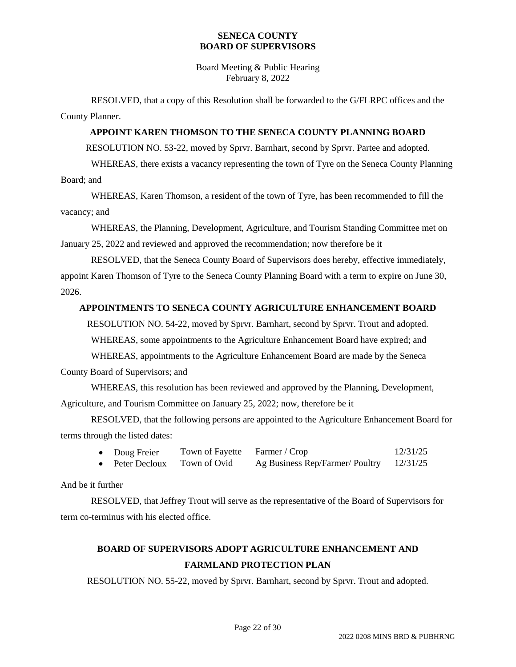Board Meeting & Public Hearing February 8, 2022

RESOLVED, that a copy of this Resolution shall be forwarded to the G/FLRPC offices and the County Planner.

### **APPOINT KAREN THOMSON TO THE SENECA COUNTY PLANNING BOARD**

RESOLUTION NO. 53-22, moved by Sprvr. Barnhart, second by Sprvr. Partee and adopted.

WHEREAS, there exists a vacancy representing the town of Tyre on the Seneca County Planning Board; and

WHEREAS, Karen Thomson, a resident of the town of Tyre, has been recommended to fill the vacancy; and

WHEREAS, the Planning, Development, Agriculture, and Tourism Standing Committee met on January 25, 2022 and reviewed and approved the recommendation; now therefore be it

RESOLVED, that the Seneca County Board of Supervisors does hereby, effective immediately, appoint Karen Thomson of Tyre to the Seneca County Planning Board with a term to expire on June 30, 2026.

### **APPOINTMENTS TO SENECA COUNTY AGRICULTURE ENHANCEMENT BOARD**

RESOLUTION NO. 54-22, moved by Sprvr. Barnhart, second by Sprvr. Trout and adopted.

WHEREAS, some appointments to the Agriculture Enhancement Board have expired; and

WHEREAS, appointments to the Agriculture Enhancement Board are made by the Seneca

County Board of Supervisors; and

WHEREAS, this resolution has been reviewed and approved by the Planning, Development, Agriculture, and Tourism Committee on January 25, 2022; now, therefore be it

RESOLVED, that the following persons are appointed to the Agriculture Enhancement Board for terms through the listed dates:

| Doug Freier   | Town of Fayette Farmer / Crop |                                 | 12/31/25 |
|---------------|-------------------------------|---------------------------------|----------|
| Peter Decloux | Town of Ovid                  | Ag Business Rep/Farmer/ Poultry | 12/31/25 |

And be it further

RESOLVED, that Jeffrey Trout will serve as the representative of the Board of Supervisors for term co-terminus with his elected office.

# **BOARD OF SUPERVISORS ADOPT AGRICULTURE ENHANCEMENT AND FARMLAND PROTECTION PLAN**

RESOLUTION NO. 55-22, moved by Sprvr. Barnhart, second by Sprvr. Trout and adopted.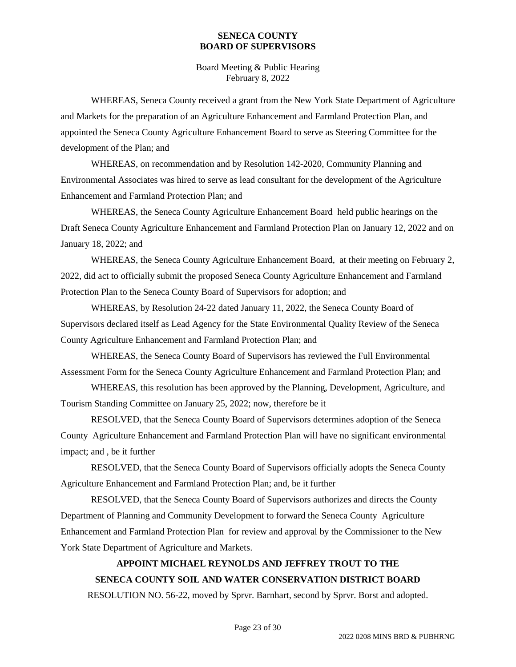Board Meeting & Public Hearing February 8, 2022

WHEREAS, Seneca County received a grant from the New York State Department of Agriculture and Markets for the preparation of an Agriculture Enhancement and Farmland Protection Plan, and appointed the Seneca County Agriculture Enhancement Board to serve as Steering Committee for the development of the Plan; and

WHEREAS, on recommendation and by Resolution 142-2020, Community Planning and Environmental Associates was hired to serve as lead consultant for the development of the Agriculture Enhancement and Farmland Protection Plan; and

WHEREAS, the Seneca County Agriculture Enhancement Board held public hearings on the Draft Seneca County Agriculture Enhancement and Farmland Protection Plan on January 12, 2022 and on January 18, 2022; and

WHEREAS, the Seneca County Agriculture Enhancement Board, at their meeting on February 2, 2022, did act to officially submit the proposed Seneca County Agriculture Enhancement and Farmland Protection Plan to the Seneca County Board of Supervisors for adoption; and

WHEREAS, by Resolution 24-22 dated January 11, 2022, the Seneca County Board of Supervisors declared itself as Lead Agency for the State Environmental Quality Review of the Seneca County Agriculture Enhancement and Farmland Protection Plan; and

WHEREAS, the Seneca County Board of Supervisors has reviewed the Full Environmental Assessment Form for the Seneca County Agriculture Enhancement and Farmland Protection Plan; and

WHEREAS, this resolution has been approved by the Planning, Development, Agriculture, and Tourism Standing Committee on January 25, 2022; now, therefore be it

RESOLVED, that the Seneca County Board of Supervisors determines adoption of the Seneca County Agriculture Enhancement and Farmland Protection Plan will have no significant environmental impact; and , be it further

RESOLVED, that the Seneca County Board of Supervisors officially adopts the Seneca County Agriculture Enhancement and Farmland Protection Plan; and, be it further

RESOLVED, that the Seneca County Board of Supervisors authorizes and directs the County Department of Planning and Community Development to forward the Seneca County Agriculture Enhancement and Farmland Protection Plan for review and approval by the Commissioner to the New York State Department of Agriculture and Markets.

# **APPOINT MICHAEL REYNOLDS AND JEFFREY TROUT TO THE SENECA COUNTY SOIL AND WATER CONSERVATION DISTRICT BOARD**

RESOLUTION NO. 56-22, moved by Sprvr. Barnhart, second by Sprvr. Borst and adopted.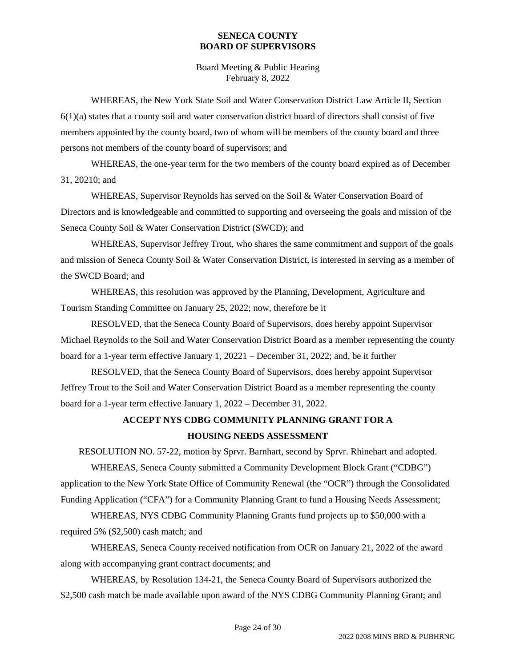Board Meeting & Public Hearing February 8, 2022

WHEREAS, the New York State Soil and Water Conservation District Law Article II, Section 6(1)(a) states that a county soil and water conservation district board of directors shall consist of five members appointed by the county board, two of whom will be members of the county board and three persons not members of the county board of supervisors; and

WHEREAS, the one-year term for the two members of the county board expired as of December 31, 20210; and

WHEREAS, Supervisor Reynolds has served on the Soil & Water Conservation Board of Directors and is knowledgeable and committed to supporting and overseeing the goals and mission of the Seneca County Soil & Water Conservation District (SWCD); and

WHEREAS, Supervisor Jeffrey Trout, who shares the same commitment and support of the goals and mission of Seneca County Soil & Water Conservation District, is interested in serving as a member of the SWCD Board; and

WHEREAS, this resolution was approved by the Planning, Development, Agriculture and Tourism Standing Committee on January 25, 2022; now, therefore be it

RESOLVED, that the Seneca County Board of Supervisors, does hereby appoint Supervisor Michael Reynolds to the Soil and Water Conservation District Board as a member representing the county board for a 1-year term effective January 1, 20221 – December 31, 2022; and, be it further

RESOLVED, that the Seneca County Board of Supervisors, does hereby appoint Supervisor Jeffrey Trout to the Soil and Water Conservation District Board as a member representing the county board for a 1-year term effective January 1, 2022 – December 31, 2022.

## **ACCEPT NYS CDBG COMMUNITY PLANNING GRANT FOR A HOUSING NEEDS ASSESSMENT**

RESOLUTION NO. 57-22, motion by Sprvr. Barnhart, second by Sprvr. Rhinehart and adopted.

WHEREAS, Seneca County submitted a Community Development Block Grant ("CDBG") application to the New York State Office of Community Renewal (the "OCR") through the Consolidated Funding Application ("CFA") for a Community Planning Grant to fund a Housing Needs Assessment;

WHEREAS, NYS CDBG Community Planning Grants fund projects up to \$50,000 with a required 5% (\$2,500) cash match; and

WHEREAS, Seneca County received notification from OCR on January 21, 2022 of the award along with accompanying grant contract documents; and

WHEREAS, by Resolution 134-21, the Seneca County Board of Supervisors authorized the \$2,500 cash match be made available upon award of the NYS CDBG Community Planning Grant; and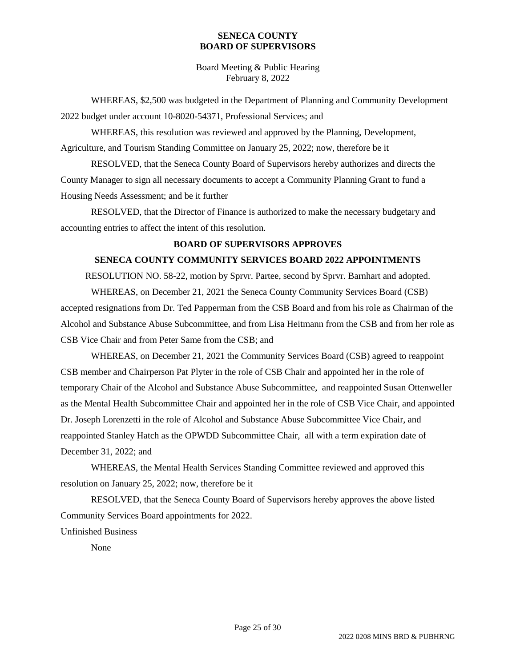Board Meeting & Public Hearing February 8, 2022

WHEREAS, \$2,500 was budgeted in the Department of Planning and Community Development 2022 budget under account 10-8020-54371, Professional Services; and

WHEREAS, this resolution was reviewed and approved by the Planning, Development, Agriculture, and Tourism Standing Committee on January 25, 2022; now, therefore be it

RESOLVED, that the Seneca County Board of Supervisors hereby authorizes and directs the County Manager to sign all necessary documents to accept a Community Planning Grant to fund a Housing Needs Assessment; and be it further

RESOLVED, that the Director of Finance is authorized to make the necessary budgetary and accounting entries to affect the intent of this resolution.

### **BOARD OF SUPERVISORS APPROVES**

### **SENECA COUNTY COMMUNITY SERVICES BOARD 2022 APPOINTMENTS**

RESOLUTION NO. 58-22, motion by Sprvr. Partee, second by Sprvr. Barnhart and adopted.

WHEREAS, on December 21, 2021 the Seneca County Community Services Board (CSB) accepted resignations from Dr. Ted Papperman from the CSB Board and from his role as Chairman of the Alcohol and Substance Abuse Subcommittee, and from Lisa Heitmann from the CSB and from her role as CSB Vice Chair and from Peter Same from the CSB; and

WHEREAS, on December 21, 2021 the Community Services Board (CSB) agreed to reappoint CSB member and Chairperson Pat Plyter in the role of CSB Chair and appointed her in the role of temporary Chair of the Alcohol and Substance Abuse Subcommittee, and reappointed Susan Ottenweller as the Mental Health Subcommittee Chair and appointed her in the role of CSB Vice Chair, and appointed Dr. Joseph Lorenzetti in the role of Alcohol and Substance Abuse Subcommittee Vice Chair, and reappointed Stanley Hatch as the OPWDD Subcommittee Chair, all with a term expiration date of December 31, 2022; and

WHEREAS, the Mental Health Services Standing Committee reviewed and approved this resolution on January 25, 2022; now, therefore be it

RESOLVED, that the Seneca County Board of Supervisors hereby approves the above listed Community Services Board appointments for 2022.

### Unfinished Business

None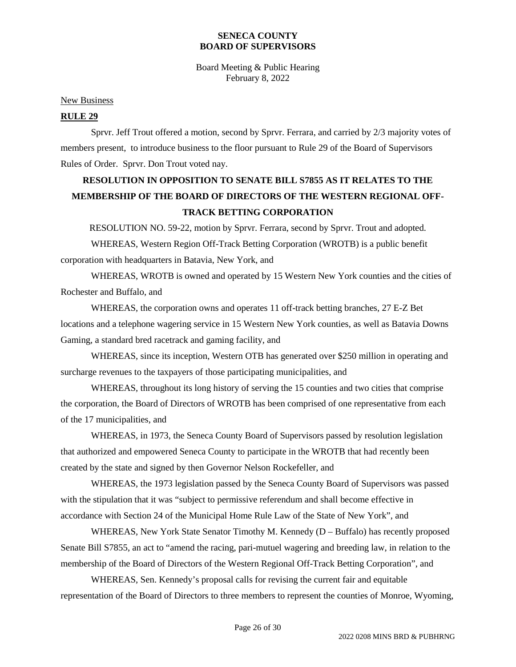Board Meeting & Public Hearing February 8, 2022

#### New Business

#### **RULE 29**

Sprvr. Jeff Trout offered a motion, second by Sprvr. Ferrara, and carried by 2/3 majority votes of members present, to introduce business to the floor pursuant to Rule 29 of the Board of Supervisors Rules of Order. Sprvr. Don Trout voted nay.

# **RESOLUTION IN OPPOSITION TO SENATE BILL S7855 AS IT RELATES TO THE MEMBERSHIP OF THE BOARD OF DIRECTORS OF THE WESTERN REGIONAL OFF-TRACK BETTING CORPORATION**

RESOLUTION NO. 59-22, motion by Sprvr. Ferrara, second by Sprvr. Trout and adopted. WHEREAS, Western Region Off-Track Betting Corporation (WROTB) is a public benefit corporation with headquarters in Batavia, New York, and

WHEREAS, WROTB is owned and operated by 15 Western New York counties and the cities of Rochester and Buffalo, and

WHEREAS, the corporation owns and operates 11 off-track betting branches, 27 E-Z Bet locations and a telephone wagering service in 15 Western New York counties, as well as Batavia Downs Gaming, a standard bred racetrack and gaming facility, and

WHEREAS, since its inception, Western OTB has generated over \$250 million in operating and surcharge revenues to the taxpayers of those participating municipalities, and

WHEREAS, throughout its long history of serving the 15 counties and two cities that comprise the corporation, the Board of Directors of WROTB has been comprised of one representative from each of the 17 municipalities, and

WHEREAS, in 1973, the Seneca County Board of Supervisors passed by resolution legislation that authorized and empowered Seneca County to participate in the WROTB that had recently been created by the state and signed by then Governor Nelson Rockefeller, and

WHEREAS, the 1973 legislation passed by the Seneca County Board of Supervisors was passed with the stipulation that it was "subject to permissive referendum and shall become effective in accordance with Section 24 of the Municipal Home Rule Law of the State of New York", and

WHEREAS, New York State Senator Timothy M. Kennedy (D – Buffalo) has recently proposed Senate Bill S7855, an act to "amend the racing, pari-mutuel wagering and breeding law, in relation to the membership of the Board of Directors of the Western Regional Off-Track Betting Corporation", and

WHEREAS, Sen. Kennedy's proposal calls for revising the current fair and equitable representation of the Board of Directors to three members to represent the counties of Monroe, Wyoming,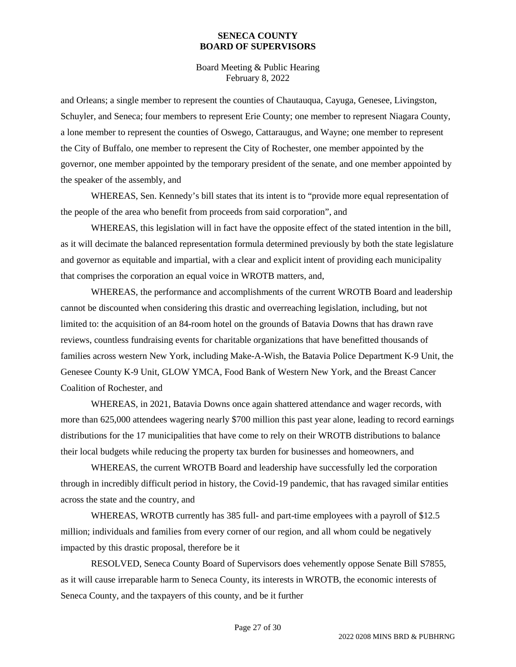Board Meeting & Public Hearing February 8, 2022

and Orleans; a single member to represent the counties of Chautauqua, Cayuga, Genesee, Livingston, Schuyler, and Seneca; four members to represent Erie County; one member to represent Niagara County, a lone member to represent the counties of Oswego, Cattaraugus, and Wayne; one member to represent the City of Buffalo, one member to represent the City of Rochester, one member appointed by the governor, one member appointed by the temporary president of the senate, and one member appointed by the speaker of the assembly, and

WHEREAS, Sen. Kennedy's bill states that its intent is to "provide more equal representation of the people of the area who benefit from proceeds from said corporation", and

WHEREAS, this legislation will in fact have the opposite effect of the stated intention in the bill, as it will decimate the balanced representation formula determined previously by both the state legislature and governor as equitable and impartial, with a clear and explicit intent of providing each municipality that comprises the corporation an equal voice in WROTB matters, and,

WHEREAS, the performance and accomplishments of the current WROTB Board and leadership cannot be discounted when considering this drastic and overreaching legislation, including, but not limited to: the acquisition of an 84-room hotel on the grounds of Batavia Downs that has drawn rave reviews, countless fundraising events for charitable organizations that have benefitted thousands of families across western New York, including Make-A-Wish, the Batavia Police Department K-9 Unit, the Genesee County K-9 Unit, GLOW YMCA, Food Bank of Western New York, and the Breast Cancer Coalition of Rochester, and

WHEREAS, in 2021, Batavia Downs once again shattered attendance and wager records, with more than 625,000 attendees wagering nearly \$700 million this past year alone, leading to record earnings distributions for the 17 municipalities that have come to rely on their WROTB distributions to balance their local budgets while reducing the property tax burden for businesses and homeowners, and

WHEREAS, the current WROTB Board and leadership have successfully led the corporation through in incredibly difficult period in history, the Covid-19 pandemic, that has ravaged similar entities across the state and the country, and

WHEREAS, WROTB currently has 385 full- and part-time employees with a payroll of \$12.5 million; individuals and families from every corner of our region, and all whom could be negatively impacted by this drastic proposal, therefore be it

RESOLVED, Seneca County Board of Supervisors does vehemently oppose Senate Bill S7855, as it will cause irreparable harm to Seneca County, its interests in WROTB, the economic interests of Seneca County, and the taxpayers of this county, and be it further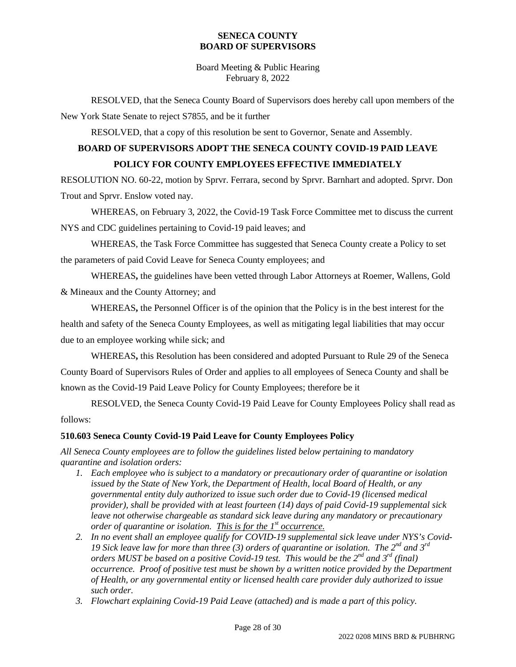Board Meeting & Public Hearing February 8, 2022

RESOLVED, that the Seneca County Board of Supervisors does hereby call upon members of the New York State Senate to reject S7855, and be it further

RESOLVED, that a copy of this resolution be sent to Governor, Senate and Assembly.

# **BOARD OF SUPERVISORS ADOPT THE SENECA COUNTY COVID-19 PAID LEAVE POLICY FOR COUNTY EMPLOYEES EFFECTIVE IMMEDIATELY**

RESOLUTION NO. 60-22, motion by Sprvr. Ferrara, second by Sprvr. Barnhart and adopted. Sprvr. Don Trout and Sprvr. Enslow voted nay.

WHEREAS, on February 3, 2022, the Covid-19 Task Force Committee met to discuss the current NYS and CDC guidelines pertaining to Covid-19 paid leaves; and

WHEREAS, the Task Force Committee has suggested that Seneca County create a Policy to set the parameters of paid Covid Leave for Seneca County employees; and

WHEREAS**,** the guidelines have been vetted through Labor Attorneys at Roemer, Wallens, Gold & Mineaux and the County Attorney; and

WHEREAS**,** the Personnel Officer is of the opinion that the Policy is in the best interest for the health and safety of the Seneca County Employees, as well as mitigating legal liabilities that may occur due to an employee working while sick; and

WHEREAS**,** this Resolution has been considered and adopted Pursuant to Rule 29 of the Seneca County Board of Supervisors Rules of Order and applies to all employees of Seneca County and shall be known as the Covid-19 Paid Leave Policy for County Employees; therefore be it

RESOLVED, the Seneca County Covid-19 Paid Leave for County Employees Policy shall read as follows:

## **510.603 Seneca County Covid-19 Paid Leave for County Employees Policy**

*All Seneca County employees are to follow the guidelines listed below pertaining to mandatory quarantine and isolation orders:*

- *1. Each employee who is subject to a mandatory or precautionary order of quarantine or isolation issued by the State of New York, the Department of Health, local Board of Health, or any governmental entity duly authorized to issue such order due to Covid-19 (licensed medical provider), shall be provided with at least fourteen (14) days of paid Covid-19 supplemental sick leave not otherwise chargeable as standard sick leave during any mandatory or precautionary order of quarantine or isolation. This is for the 1st occurrence.*
- *2. In no event shall an employee qualify for COVID-19 supplemental sick leave under NYS's Covid-19 Sick leave law for more than three (3) orders of quarantine or isolation. The 2nd and 3rd orders MUST be based on a positive Covid-19 test. This would be the 2nd and 3rd (final) occurrence. Proof of positive test must be shown by a written notice provided by the Department of Health, or any governmental entity or licensed health care provider duly authorized to issue such order.*
- *3. Flowchart explaining Covid-19 Paid Leave (attached) and is made a part of this policy.*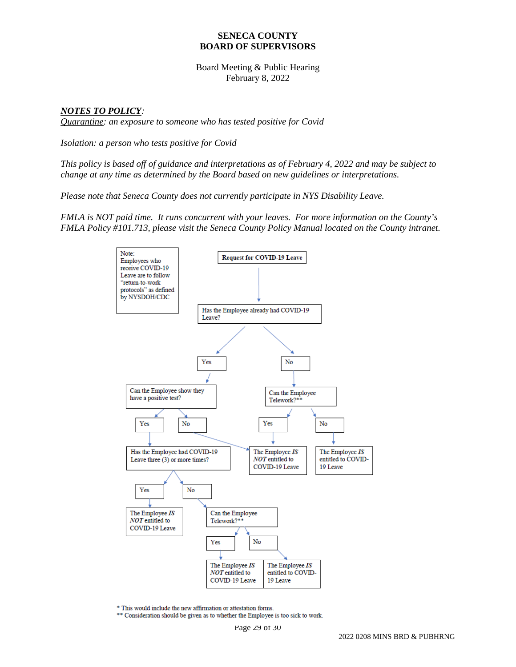Board Meeting & Public Hearing February 8, 2022

### *NOTES TO POLICY:*

*Quarantine: an exposure to someone who has tested positive for Covid*

*Isolation: a person who tests positive for Covid*

*This policy is based off of guidance and interpretations as of February 4, 2022 and may be subject to change at any time as determined by the Board based on new guidelines or interpretations.* 

*Please note that Seneca County does not currently participate in NYS Disability Leave.* 

*FMLA is NOT paid time. It runs concurrent with your leaves. For more information on the County's FMLA Policy #101.713, please visit the Seneca County Policy Manual located on the County intranet.*



\* This would include the new affirmation or attestation forms.

\*\* Consideration should be given as to whether the Employee is too sick to work.